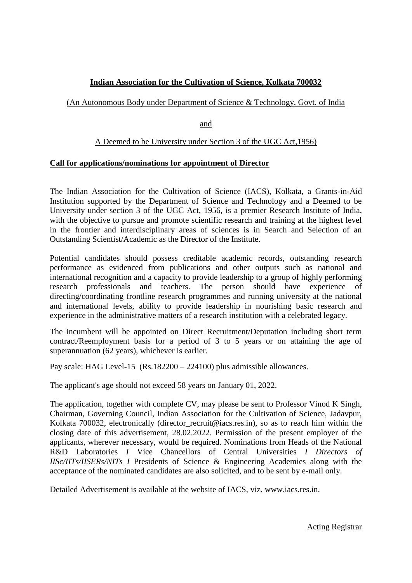# **Indian Association for the Cultivation of Science, Kolkata 700032**

# (An Autonomous Body under Department of Science & Technology, Govt. of India

and

## A Deemed to be University under Section 3 of the UGC Act,1956)

#### **Call for applications/nominations for appointment of Director**

The Indian Association for the Cultivation of Science (IACS), Kolkata, a Grants-in-Aid Institution supported by the Department of Science and Technology and a Deemed to be University under section 3 of the UGC Act, 1956, is a premier Research Institute of India, with the objective to pursue and promote scientific research and training at the highest level in the frontier and interdisciplinary areas of sciences is in Search and Selection of an Outstanding Scientist/Academic as the Director of the Institute.

Potential candidates should possess creditable academic records, outstanding research performance as evidenced from publications and other outputs such as national and international recognition and a capacity to provide leadership to a group of highly performing research professionals and teachers. The person should have experience of directing/coordinating frontline research programmes and running university at the national and international levels, ability to provide leadership in nourishing basic research and experience in the administrative matters of a research institution with a celebrated legacy.

The incumbent will be appointed on Direct Recruitment/Deputation including short term contract/Reemployment basis for a period of 3 to 5 years or on attaining the age of superannuation (62 years), whichever is earlier.

Pay scale: HAG Level-15 (Rs.182200 – 224100) plus admissible allowances.

The applicant's age should not exceed 58 years on January 01, 2022.

The application, together with complete CV, may please be sent to Professor Vinod K Singh, Chairman, Governing Council, Indian Association for the Cultivation of Science, Jadavpur, Kolkata 700032, electronically (director recruit@iacs.res.in), so as to reach him within the closing date of this advertisement, 28.02.2022. Permission of the present employer of the applicants, wherever necessary, would be required. Nominations from Heads of the National R&D Laboratories *I* Vice Chancellors of Central Universities *I Directors of IISc/IITs/IISERs/NITs I* Presidents of Science & Engineering Academies along with the acceptance of the nominated candidates are also solicited, and to be sent by e-mail only.

Detailed Advertisement is available at the website of IACS, viz. www.iacs.res.in.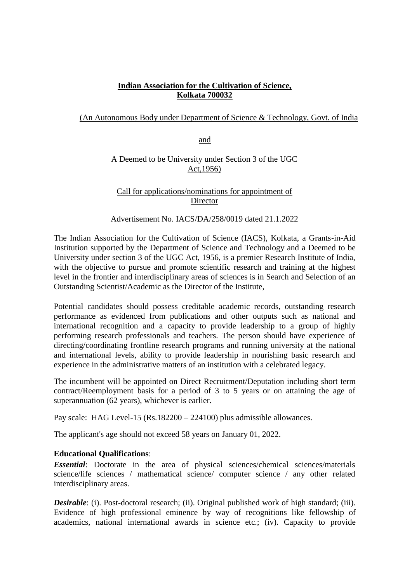# **Indian Association for the Cultivation of Science, Kolkata 700032**

## (An Autonomous Body under Department of Science & Technology, Govt. of India

and

## A Deemed to be University under Section 3 of the UGC Act,1956)

Call for applications/nominations for appointment of Director

Advertisement No. IACS/DA/258/0019 dated 21.1.2022

The Indian Association for the Cultivation of Science (IACS), Kolkata, a Grants-in-Aid Institution supported by the Department of Science and Technology and a Deemed to be University under section 3 of the UGC Act, 1956, is a premier Research Institute of India, with the objective to pursue and promote scientific research and training at the highest level in the frontier and interdisciplinary areas of sciences is in Search and Selection of an Outstanding Scientist/Academic as the Director of the Institute,

Potential candidates should possess creditable academic records, outstanding research performance as evidenced from publications and other outputs such as national and international recognition and a capacity to provide leadership to a group of highly performing research professionals and teachers. The person should have experience of directing/coordinating frontline research programs and running university at the national and international levels, ability to provide leadership in nourishing basic research and experience in the administrative matters of an institution with a celebrated legacy.

The incumbent will be appointed on Direct Recruitment/Deputation including short term contract/Reemployment basis for a period of 3 to 5 years or on attaining the age of superannuation (62 years), whichever is earlier.

Pay scale: HAG Level-15 (Rs.182200 – 224100) plus admissible allowances.

The applicant's age should not exceed 58 years on January 01, 2022.

#### **Educational Qualifications**:

*Essential*: Doctorate in the area of physical sciences/chemical sciences/materials science/life sciences / mathematical science/ computer science / any other related interdisciplinary areas.

*Desirable*: (i). Post-doctoral research; (ii). Original published work of high standard; (iii). Evidence of high professional eminence by way of recognitions like fellowship of academics, national international awards in science etc.; (iv). Capacity to provide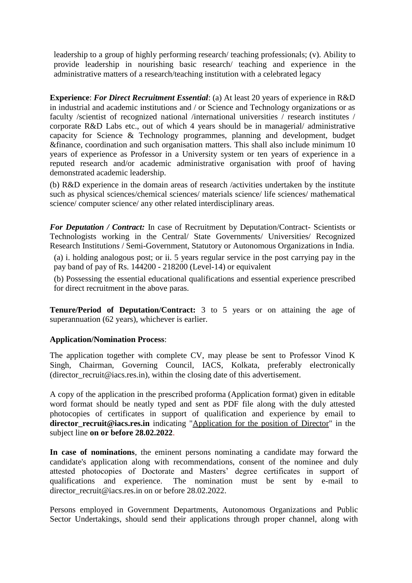leadership to a group of highly performing research/ teaching professionals; (v). Ability to provide leadership in nourishing basic research/ teaching and experience in the administrative matters of a research/teaching institution with a celebrated legacy

**Experience**: *For Direct Recruitment Essential*: (a) At least 20 years of experience in R&D in industrial and academic institutions and / or Science and Technology organizations or as faculty /scientist of recognized national /international universities / research institutes / corporate R&D Labs etc., out of which 4 years should be in managerial/ administrative capacity for Science & Technology programmes, planning and development, budget &finance, coordination and such organisation matters. This shall also include minimum 10 years of experience as Professor in a University system or ten years of experience in a reputed research and/or academic administrative organisation with proof of having demonstrated academic leadership.

(b) R&D experience in the domain areas of research /activities undertaken by the institute such as physical sciences/chemical sciences/ materials science/ life sciences/ mathematical science/ computer science/ any other related interdisciplinary areas.

*For Deputation / Contract:* In case of Recruitment by Deputation/Contract- Scientists or Technologists working in the Central/ State Governments/ Universities/ Recognized Research Institutions / Semi-Government, Statutory or Autonomous Organizations in India.

(a) i. holding analogous post; or ii. 5 years regular service in the post carrying pay in the pay band of pay of Rs. 144200 - 218200 (Level-14) or equivalent

(b) Possessing the essential educational qualifications and essential experience prescribed for direct recruitment in the above paras.

**Tenure/Period of Deputation/Contract:** 3 to 5 years or on attaining the age of superannuation (62 years), whichever is earlier.

#### **Application/Nomination Process**:

The application together with complete CV, may please be sent to Professor Vinod K Singh, Chairman, Governing Council, IACS, Kolkata, preferably electronically (director recruit@iacs.res.in), within the closing date of this advertisement.

A copy of the application in the prescribed proforma (Application format) given in editable word format should be neatly typed and sent as PDF file along with the duly attested photocopies of certificates in support of qualification and experience by email to **director\_recruit@iacs.res.in** indicating "Application for the position of Director" in the subject line **on or before 28.02.2022**.

**In case of nominations**, the eminent persons nominating a candidate may forward the candidate's application along with recommendations, consent of the nominee and duly attested photocopies of Doctorate and Masters' degree certificates in support of qualifications and experience. The nomination must be sent by e-mail to director recruit@iacs.res.in on or before 28.02.2022.

Persons employed in Government Departments, Autonomous Organizations and Public Sector Undertakings, should send their applications through proper channel, along with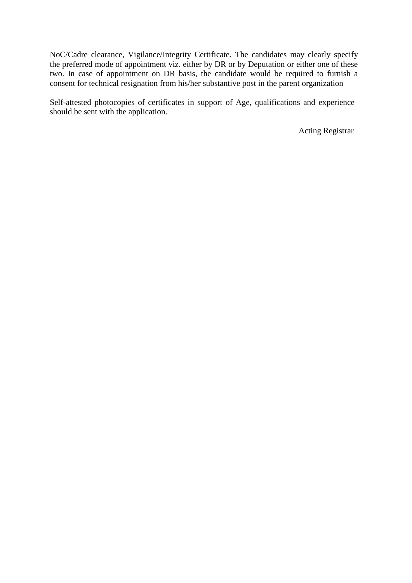NoC/Cadre clearance, Vigilance/Integrity Certificate. The candidates may clearly specify the preferred mode of appointment viz. either by DR or by Deputation or either one of these two. In case of appointment on DR basis, the candidate would be required to furnish a consent for technical resignation from his/her substantive post in the parent organization

Self-attested photocopies of certificates in support of Age, qualifications and experience should be sent with the application.

Acting Registrar